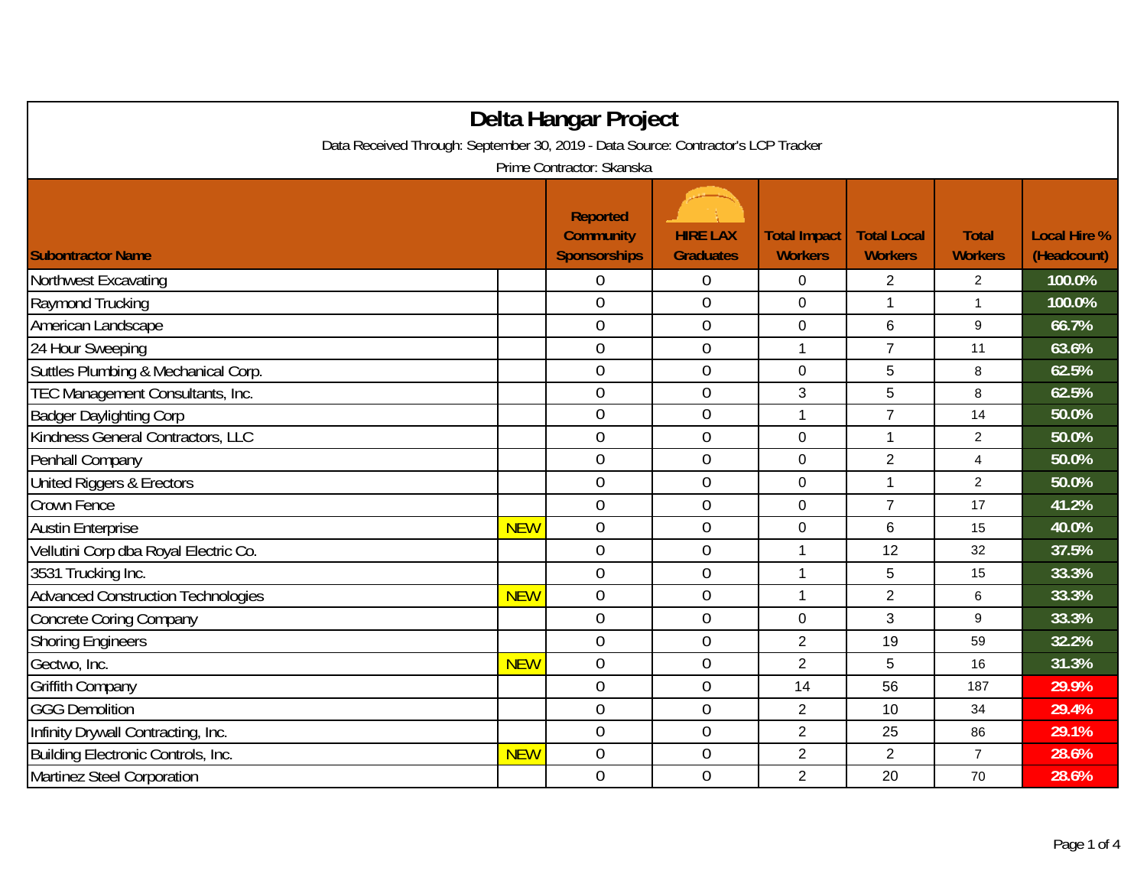| Delta Hangar Project                                                              |            |                                                            |                                     |                                       |                                      |                                |                                    |  |
|-----------------------------------------------------------------------------------|------------|------------------------------------------------------------|-------------------------------------|---------------------------------------|--------------------------------------|--------------------------------|------------------------------------|--|
| Data Received Through: September 30, 2019 - Data Source: Contractor's LCP Tracker |            |                                                            |                                     |                                       |                                      |                                |                                    |  |
| Prime Contractor: Skanska                                                         |            |                                                            |                                     |                                       |                                      |                                |                                    |  |
| <b>Subontractor Name</b>                                                          |            | <b>Reported</b><br><b>Community</b><br><b>Sponsorships</b> | <b>HIRE LAX</b><br><b>Graduates</b> | <b>Total Impact</b><br><b>Workers</b> | <b>Total Local</b><br><b>Workers</b> | <b>Total</b><br><b>Workers</b> | <b>Local Hire %</b><br>(Headcount) |  |
| Northwest Excavating                                                              |            | 0                                                          | $\boldsymbol{0}$                    | 0                                     | 2                                    | $\overline{2}$                 | 100.0%                             |  |
| Raymond Trucking                                                                  |            | $\boldsymbol{0}$                                           | $\boldsymbol{0}$                    | 0                                     | 1                                    | $\mathbf{1}$                   | 100.0%                             |  |
| American Landscape                                                                |            | $\mathbf 0$                                                | $\mathbf 0$                         | 0                                     | 6                                    | 9                              | 66.7%                              |  |
| 24 Hour Sweeping                                                                  |            | $\overline{0}$                                             | $\overline{0}$                      | 1                                     | $\overline{7}$                       | 11                             | 63.6%                              |  |
| Suttles Plumbing & Mechanical Corp.                                               |            | $\overline{0}$                                             | $\boldsymbol{0}$                    | 0                                     | 5                                    | 8                              | 62.5%                              |  |
| TEC Management Consultants, Inc.                                                  |            | $\overline{0}$                                             | $\overline{0}$                      | 3                                     | 5                                    | 8                              | 62.5%                              |  |
| <b>Badger Daylighting Corp</b>                                                    |            | $\overline{0}$                                             | $\boldsymbol{0}$                    | 1                                     | $\overline{7}$                       | 14                             | 50.0%                              |  |
| Kindness General Contractors, LLC                                                 |            | $\mathbf 0$                                                | $\mathbf 0$                         | 0                                     | $\mathbf{1}$                         | $\overline{a}$                 | 50.0%                              |  |
| Penhall Company                                                                   |            | $\boldsymbol{0}$                                           | $\overline{0}$                      | 0                                     | $\overline{2}$                       | $\overline{\mathbf{4}}$        | 50.0%                              |  |
| United Riggers & Erectors                                                         |            | $\mathbf 0$                                                | $\mathbf 0$                         | 0                                     | $\mathbf{1}$                         | $\overline{2}$                 | 50.0%                              |  |
| Crown Fence                                                                       |            | $\overline{0}$                                             | $\boldsymbol{0}$                    | 0                                     | $\overline{7}$                       | 17                             | 41.2%                              |  |
| <b>Austin Enterprise</b>                                                          | <b>NEW</b> | 0                                                          | $\boldsymbol{0}$                    | 0                                     | 6                                    | 15                             | 40.0%                              |  |
| Vellutini Corp dba Royal Electric Co.                                             |            | $\overline{0}$                                             | $\mathbf 0$                         | 1                                     | 12                                   | 32                             | 37.5%                              |  |
| 3531 Trucking Inc.                                                                |            | $\overline{0}$                                             | $\mathbf 0$                         | 1                                     | 5                                    | 15                             | 33.3%                              |  |
| <b>Advanced Construction Technologies</b>                                         | <b>NEW</b> | $\overline{0}$                                             | $\mathbf 0$                         | 1                                     | $\overline{2}$                       | 6                              | 33.3%                              |  |
| <b>Concrete Coring Company</b>                                                    |            | $\overline{0}$                                             | $\mathbf 0$                         | 0                                     | 3                                    | 9                              | 33.3%                              |  |
| <b>Shoring Engineers</b>                                                          |            | $\mathbf 0$                                                | $\boldsymbol{0}$                    | $\overline{2}$                        | 19                                   | 59                             | 32.2%                              |  |
| Gectwo, Inc.                                                                      | <b>NEW</b> | $\overline{0}$                                             | $\mathbf 0$                         | $\overline{2}$                        | 5                                    | 16                             | 31.3%                              |  |
| Griffith Company                                                                  |            | $\overline{0}$                                             | $\boldsymbol{0}$                    | 14                                    | 56                                   | 187                            | 29.9%                              |  |
| <b>GGG Demolition</b>                                                             |            | $\boldsymbol{0}$                                           | $\boldsymbol{0}$                    | $\overline{2}$                        | 10                                   | 34                             | 29.4%                              |  |
| Infinity Drywall Contracting, Inc.                                                |            | $\overline{0}$                                             | $\boldsymbol{0}$                    | $\overline{2}$                        | 25                                   | 86                             | 29.1%                              |  |
| Building Electronic Controls, Inc.                                                | <b>NEW</b> | $\overline{0}$                                             | $\boldsymbol{0}$                    | $\overline{2}$                        | $\overline{2}$                       | $\overline{7}$                 | 28.6%                              |  |
| Martinez Steel Corporation                                                        |            | $\overline{0}$                                             | $\overline{0}$                      | $\overline{2}$                        | 20                                   | 70                             | 28.6%                              |  |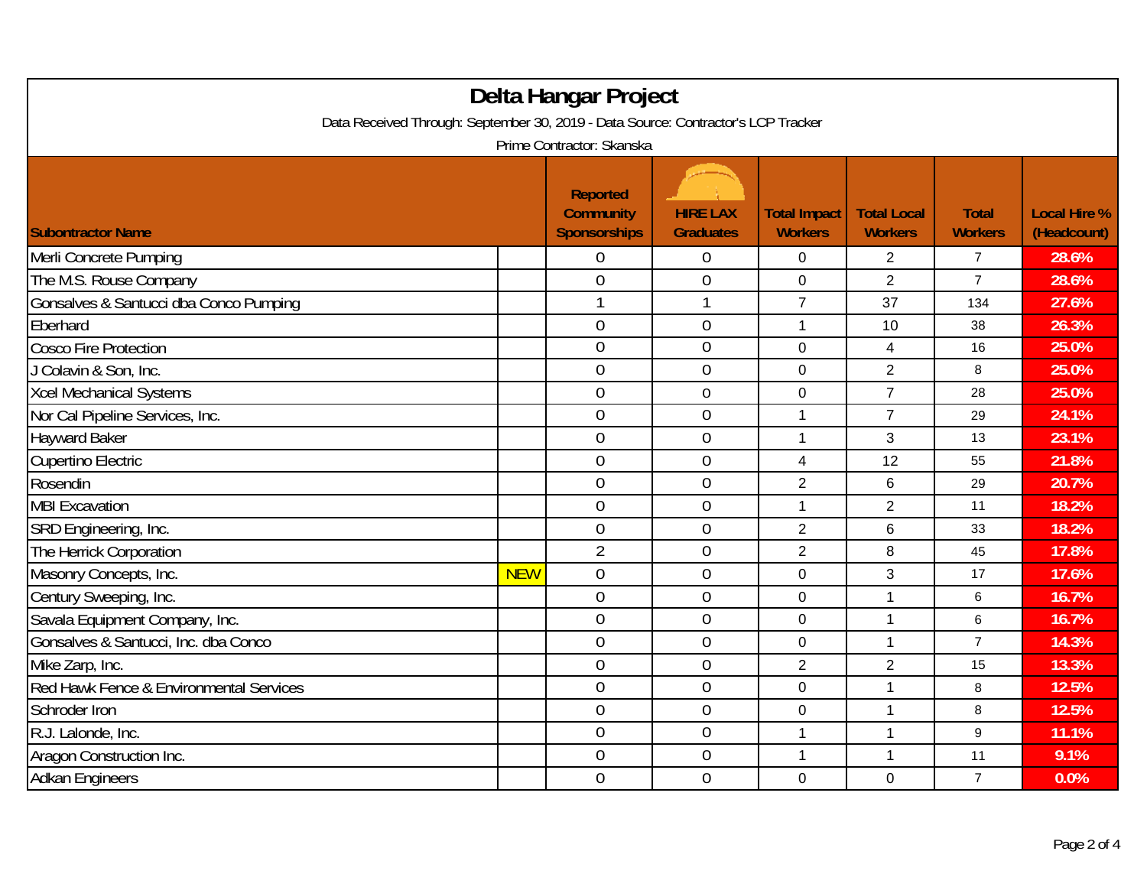| Delta Hangar Project<br>Data Received Through: September 30, 2019 - Data Source: Contractor's LCP Tracker<br>Prime Contractor: Skanska |            |                                                            |                                     |                                       |                                      |                                |                                    |  |
|----------------------------------------------------------------------------------------------------------------------------------------|------------|------------------------------------------------------------|-------------------------------------|---------------------------------------|--------------------------------------|--------------------------------|------------------------------------|--|
| <b>Subontractor Name</b>                                                                                                               |            | <b>Reported</b><br><b>Community</b><br><b>Sponsorships</b> | <b>HIRE LAX</b><br><b>Graduates</b> | <b>Total Impact</b><br><b>Workers</b> | <b>Total Local</b><br><b>Workers</b> | <b>Total</b><br><b>Workers</b> | <b>Local Hire %</b><br>(Headcount) |  |
| Merli Concrete Pumping                                                                                                                 |            | 0                                                          | $\boldsymbol{0}$                    | $\Omega$                              | $\overline{2}$                       | $\overline{7}$                 | 28.6%                              |  |
| The M.S. Rouse Company                                                                                                                 |            | $\overline{0}$                                             | $\overline{0}$                      | $\overline{0}$                        | $\overline{2}$                       | $\overline{7}$                 | 28.6%                              |  |
| Gonsalves & Santucci dba Conco Pumping                                                                                                 |            | 1                                                          | 1                                   | $\overline{7}$                        | 37                                   | 134                            | 27.6%                              |  |
| Eberhard                                                                                                                               |            | $\mathbf 0$                                                | $\mathbf 0$                         | $\mathbf{1}$                          | 10                                   | 38                             | 26.3%                              |  |
| <b>Cosco Fire Protection</b>                                                                                                           |            | $\overline{0}$                                             | $\mathbf 0$                         | $\mathbf 0$                           | 4                                    | 16                             | 25.0%                              |  |
| J Colavin & Son, Inc.                                                                                                                  |            | $\mathbf 0$                                                | $\boldsymbol{0}$                    | $\mathbf 0$                           | $\overline{2}$                       | 8                              | 25.0%                              |  |
| Xcel Mechanical Systems                                                                                                                |            | 0                                                          | $\mathbf 0$                         | $\mathbf 0$                           | $\overline{7}$                       | 28                             | 25.0%                              |  |
| Nor Cal Pipeline Services, Inc.                                                                                                        |            | $\overline{0}$                                             | $\mathbf 0$                         | 1                                     | $\overline{7}$                       | 29                             | 24.1%                              |  |
| <b>Hayward Baker</b>                                                                                                                   |            | $\mathbf 0$                                                | $\boldsymbol{0}$                    | $\overline{1}$                        | 3                                    | 13                             | 23.1%                              |  |
| <b>Cupertino Electric</b>                                                                                                              |            | $\mathbf 0$                                                | $\mathbf 0$                         | $\overline{4}$                        | 12                                   | 55                             | 21.8%                              |  |
| Rosendin                                                                                                                               |            | $\overline{0}$                                             | $\overline{0}$                      | $\sqrt{2}$                            | 6                                    | 29                             | 20.7%                              |  |
| <b>MBI Excavation</b>                                                                                                                  |            | $\overline{0}$                                             | $\boldsymbol{0}$                    | $\mathbf{1}$                          | $\overline{2}$                       | 11                             | 18.2%                              |  |
| SRD Engineering, Inc.                                                                                                                  |            | $\mathbf 0$                                                | $\mathbf 0$                         | $\overline{2}$                        | 6                                    | 33                             | 18.2%                              |  |
| The Herrick Corporation                                                                                                                |            | $\overline{2}$                                             | $\mathbf 0$                         | $\overline{2}$                        | 8                                    | 45                             | 17.8%                              |  |
| Masonry Concepts, Inc.                                                                                                                 | <b>NEW</b> | $\mathbf 0$                                                | $\boldsymbol{0}$                    | 0                                     | 3                                    | 17                             | 17.6%                              |  |
| Century Sweeping, Inc.                                                                                                                 |            | $\mathbf 0$                                                | $\overline{0}$                      | $\mathbf 0$                           | $\mathbf{1}$                         | 6                              | 16.7%                              |  |
| Savala Equipment Company, Inc.                                                                                                         |            | $\overline{0}$                                             | $\mathbf 0$                         | $\overline{0}$                        | 1                                    | 6                              | 16.7%                              |  |
| Gonsalves & Santucci, Inc. dba Conco                                                                                                   |            | $\overline{0}$                                             | $\mathbf 0$                         | $\mathbf 0$                           | 1                                    | $\overline{7}$                 | 14.3%                              |  |
| Mike Zarp, Inc.                                                                                                                        |            | $\overline{0}$                                             | $\overline{0}$                      | $\overline{2}$                        | $\overline{2}$                       | 15                             | 13.3%                              |  |
| Red Hawk Fence & Environmental Services                                                                                                |            | $\overline{0}$                                             | $\mathbf 0$                         | $\overline{0}$                        | $\mathbf{1}$                         | 8                              | 12.5%                              |  |
| Schroder Iron                                                                                                                          |            | $\overline{0}$                                             | $\boldsymbol{0}$                    | $\pmb{0}$                             | $\mathbf{1}$                         | 8                              | 12.5%                              |  |
| R.J. Lalonde, Inc.                                                                                                                     |            | $\overline{0}$                                             | $\mathbf 0$                         | $\mathbf{1}$                          | $\mathbf{1}$                         | 9                              | 11.1%                              |  |
| Aragon Construction Inc.                                                                                                               |            | $\mathbf 0$                                                | $\boldsymbol{0}$                    | $\overline{1}$                        | $\mathbf{1}$                         | 11                             | 9.1%                               |  |
| <b>Adkan Engineers</b>                                                                                                                 |            | $\overline{0}$                                             | $\mathbf 0$                         | $\mathbf 0$                           | $\mathbf 0$                          | $\overline{7}$                 | 0.0%                               |  |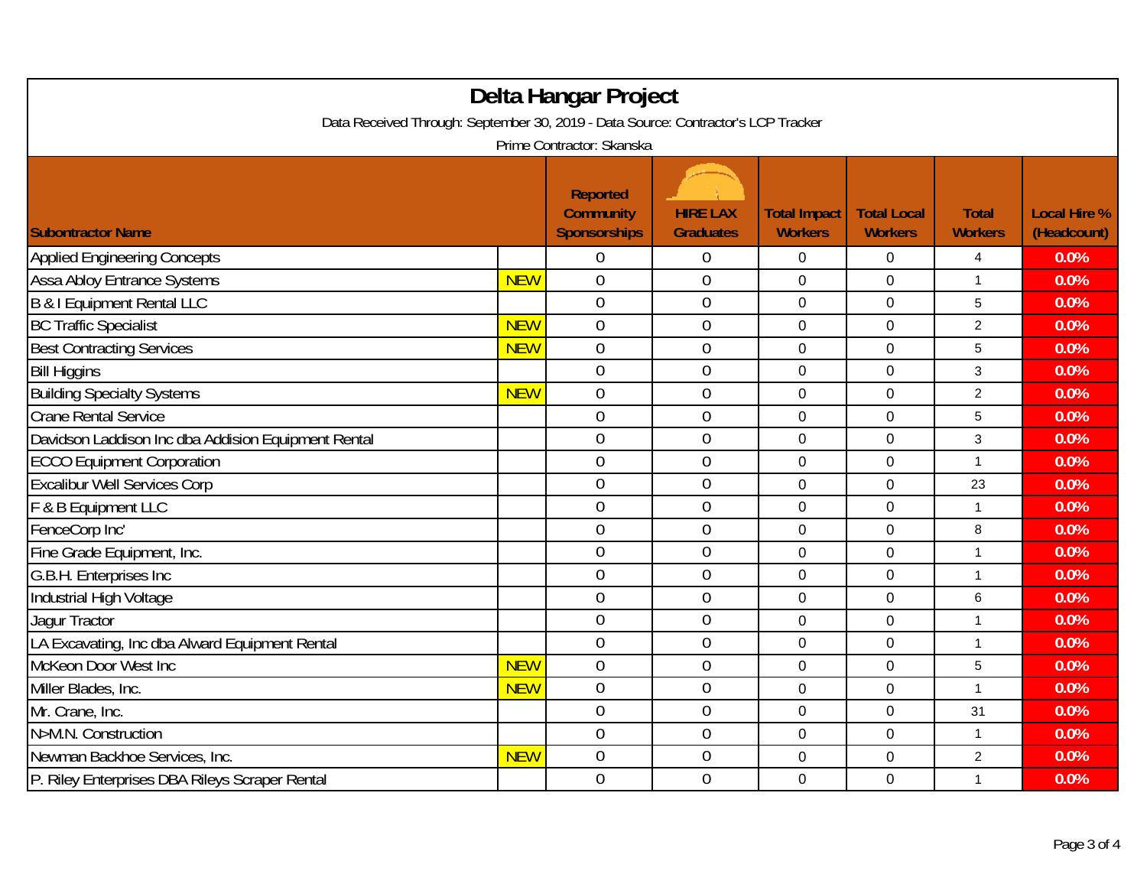| Delta Hangar Project<br>Data Received Through: September 30, 2019 - Data Source: Contractor's LCP Tracker |            |                                                     |                                     |                                       |                                      |                                |                                    |  |
|-----------------------------------------------------------------------------------------------------------|------------|-----------------------------------------------------|-------------------------------------|---------------------------------------|--------------------------------------|--------------------------------|------------------------------------|--|
| Prime Contractor: Skanska                                                                                 |            |                                                     |                                     |                                       |                                      |                                |                                    |  |
| <b>Subontractor Name</b>                                                                                  |            | <b>Reported</b><br><b>Community</b><br>Sponsorships | <b>HIRE LAX</b><br><b>Graduates</b> | <b>Total Impact</b><br><b>Workers</b> | <b>Total Local</b><br><b>Workers</b> | <b>Total</b><br><b>Workers</b> | <b>Local Hire %</b><br>(Headcount) |  |
| <b>Applied Engineering Concepts</b>                                                                       |            | 0                                                   | $\boldsymbol{0}$                    | 0                                     | 0                                    | 4                              | 0.0%                               |  |
| Assa Abloy Entrance Systems                                                                               | <b>NEW</b> | $\overline{0}$                                      | $\mathbf{0}$                        | 0                                     | 0                                    | $\mathbf{1}$                   | 0.0%                               |  |
| B & I Equipment Rental LLC                                                                                |            | $\mathbf 0$                                         | $\boldsymbol{0}$                    | 0                                     | 0                                    | 5                              | 0.0%                               |  |
| <b>BC Traffic Specialist</b>                                                                              | <b>NEW</b> | $\overline{0}$                                      | $\mathbf 0$                         | $\mathbf 0$                           | $\mathbf 0$                          | $\overline{2}$                 | 0.0%                               |  |
| <b>Best Contracting Services</b>                                                                          | <b>NEW</b> | $\overline{0}$                                      | $\mathbf 0$                         | 0                                     | 0                                    | 5                              | 0.0%                               |  |
| <b>Bill Higgins</b>                                                                                       |            | $\overline{0}$                                      | $\mathbf 0$                         | 0                                     | 0                                    | 3                              | 0.0%                               |  |
| <b>Building Specialty Systems</b>                                                                         | <b>NEW</b> | $\overline{0}$                                      | $\overline{0}$                      | $\mathbf{0}$                          | $\overline{0}$                       | $\overline{2}$                 | 0.0%                               |  |
| <b>Crane Rental Service</b>                                                                               |            | $\overline{0}$                                      | $\mathbf 0$                         | 0                                     | 0                                    | 5                              | 0.0%                               |  |
| Davidson Laddison Inc dba Addision Equipment Rental                                                       |            | $\overline{0}$                                      | $\boldsymbol{0}$                    | $\mathbf 0$                           | $\mathbf 0$                          | 3                              | 0.0%                               |  |
| <b>ECCO Equipment Corporation</b>                                                                         |            | $\overline{0}$                                      | $\mathbf 0$                         | $\mathbf 0$                           | 0                                    | $\mathbf{1}$                   | 0.0%                               |  |
| <b>Excalibur Well Services Corp</b>                                                                       |            | $\overline{0}$                                      | $\overline{0}$                      | 0                                     | 0                                    | 23                             | 0.0%                               |  |
| F & B Equipment LLC                                                                                       |            | $\overline{0}$                                      | $\mathbf 0$                         | 0                                     | 0                                    | 1                              | 0.0%                               |  |
| FenceCorp Inc'                                                                                            |            | $\overline{0}$                                      | $\mathbf 0$                         | 0                                     | 0                                    | 8                              | 0.0%                               |  |
| Fine Grade Equipment, Inc.                                                                                |            | $\overline{0}$                                      | $\mathbf 0$                         | $\overline{0}$                        | 0                                    | 1                              | 0.0%                               |  |
| G.B.H. Enterprises Inc.                                                                                   |            | $\boldsymbol{0}$                                    | $\boldsymbol{0}$                    | $\pmb{0}$                             | $\mathbf 0$                          | $\mathbf{1}$                   | 0.0%                               |  |
| Industrial High Voltage                                                                                   |            | $\overline{0}$                                      | $\mathbf 0$                         | 0                                     | 0                                    | 6                              | 0.0%                               |  |
| Jagur Tractor                                                                                             |            | $\overline{0}$                                      | $\mathbf 0$                         | 0                                     | 0                                    | 1                              | 0.0%                               |  |
| LA Excavating, Inc dba Alward Equipment Rental                                                            |            | $\overline{0}$                                      | $\mathbf{0}$                        | $\mathbf 0$                           | $\mathbf 0$                          | $\mathbf{1}$                   | 0.0%                               |  |
| McKeon Door West Inc                                                                                      | <b>NEW</b> | $\overline{0}$                                      | $\mathbf 0$                         | $\mathbf 0$                           | 0                                    | 5                              | 0.0%                               |  |
| Miller Blades, Inc.                                                                                       | <b>NEW</b> | $\overline{0}$                                      | $\mathbf 0$                         | 0                                     | 0                                    | 1                              | 0.0%                               |  |
| Mr. Crane, Inc.                                                                                           |            | $\boldsymbol{0}$                                    | $\boldsymbol{0}$                    | $\pmb{0}$                             | $\pmb{0}$                            | 31                             | 0.0%                               |  |
| N>M.N. Construction                                                                                       |            | $\overline{0}$                                      | $\overline{0}$                      | 0                                     | 0                                    | 1                              | 0.0%                               |  |
| Newman Backhoe Services, Inc.                                                                             | <b>NEW</b> | $\boldsymbol{0}$                                    | $\boldsymbol{0}$                    | $\mathbf 0$                           | 0                                    | $\boldsymbol{2}$               | 0.0%                               |  |
| P. Riley Enterprises DBA Rileys Scraper Rental                                                            |            | $\overline{0}$                                      | $\mathbf 0$                         | $\mathbf 0$                           | $\mathbf 0$                          | $\mathbf{1}$                   | 0.0%                               |  |